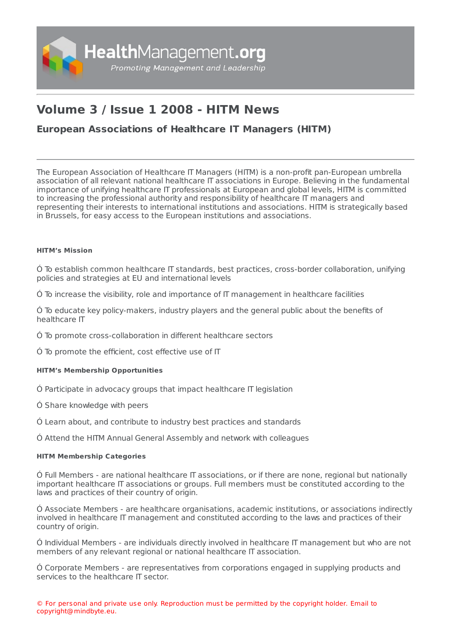

# **Volume 3 / Issue 1 2008 - HITM News**

## **European [Associations](https://healthmanagement.org/s/european-associations-of-healthcare-it-managers-hitm) of Healthcare IT Managers (HITM)**

The European Association of Healthcare IT Managers (HITM) is a non-profit pan-European umbrella association of all relevant national healthcare IT associations in Europe. Believing in the fundamental importance of unifying healthcare IT professionals at European and global levels, HITM is committed to increasing the professional authority and responsibility of healthcare IT managers and representing their interests to international institutions and associations. HITM is strategically based in Brussels, for easy access to the European institutions and associations.

#### **HITM's Mission**

Ó To establish common healthcare IT standards, best practices, cross-border collaboration, unifying policies and strategies at EU and international levels

Ó To increase the visibility, role and importance of IT management in healthcare facilities

Ó To educate key policy-makers, industry players and the general public about the benefits of healthcare IT

Ó To promote cross-collaboration in different healthcare sectors

Ó To promote the efficient, cost effective use of IT

### **HITM's Membership Opportunities**

Ó Participate in advocacy groups that impact healthcare IT legislation

Ó Share knowledge with peers

Ó Learn about, and contribute to industry best practices and standards

Ó Attend the HITM Annual General Assembly and network with colleagues

#### **HITM Membership Categories**

Ó Full Members - are national healthcare IT associations, or if there are none, regional but nationally important healthcare IT associations or groups. Full members must be constituted according to the laws and practices of their country of origin.

Ó Associate Members - are healthcare organisations, academic institutions, or associations indirectly involved in healthcare IT management and constituted according to the laws and practices of their country of origin.

Ó Individual Members - are individuals directly involved in healthcare IT management but who are not members of any relevant regional or national healthcare IT association.

Ó Corporate Members - are representatives from corporations engaged in supplying products and services to the healthcare IT sector.